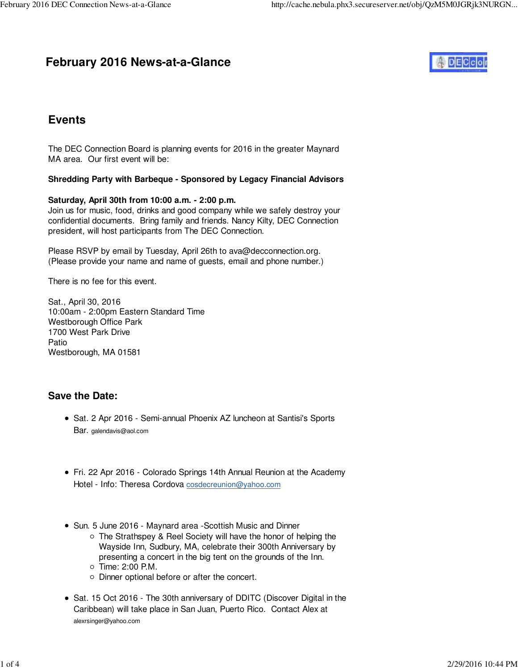# **February 2016 News-at-a-Glance**



## **Events**

The DEC Connection Board is planning events for 2016 in the greater Maynard MA area. Our first event will be:

#### **Shredding Party with Barbeque - Sponsored by Legacy Financial Advisors**

#### **Saturday, April 30th from 10:00 a.m. - 2:00 p.m.**

Join us for music, food, drinks and good company while we safely destroy your confidential documents. Bring family and friends. Nancy Kilty, DEC Connection president, will host participants from The DEC Connection.

Please RSVP by email by Tuesday, April 26th to ava@decconnection.org. (Please provide your name and name of guests, email and phone number.)

There is no fee for this event.

Sat., April 30, 2016 10:00am - 2:00pm Eastern Standard Time Westborough Office Park 1700 West Park Drive Patio Westborough, MA 01581

### **Save the Date:**

- Sat. 2 Apr 2016 Semi-annual Phoenix AZ luncheon at Santisi's Sports Bar. galendavis@aol.com
- Fri. 22 Apr 2016 Colorado Springs 14th Annual Reunion at the Academy Hotel - Info: Theresa Cordova cosdecreunion@yahoo.com
- Sun. 5 June 2016 Maynard area Scottish Music and Dinner
	- The Strathspey & Reel Society will have the honor of helping the Wayside Inn, Sudbury, MA, celebrate their 300th Anniversary by presenting a concert in the big tent on the grounds of the Inn. Time: 2:00 P.M.
	- Dinner optional before or after the concert.
- Sat. 15 Oct 2016 The 30th anniversary of DDITC (Discover Digital in the Caribbean) will take place in San Juan, Puerto Rico. Contact Alex at alexrsinger@yahoo.com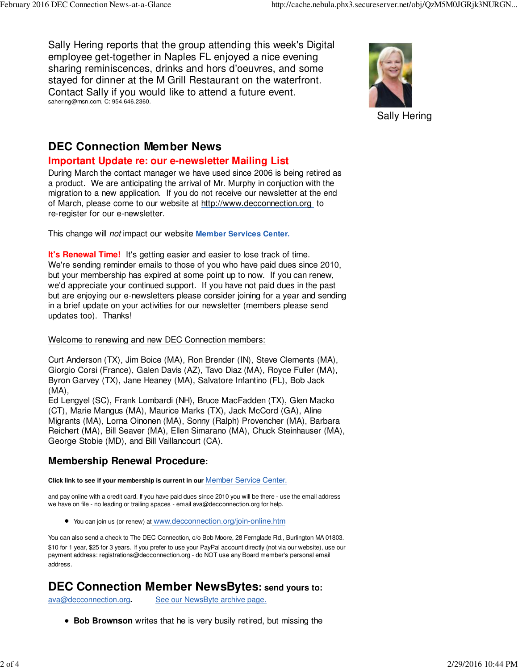Sally Hering reports that the group attending this week's Digital employee get-together in Naples FL enjoyed a nice evening sharing reminiscences, drinks and hors d'oeuvres, and some stayed for dinner at the M Grill Restaurant on the waterfront. Contact Sally if you would like to attend a future event. sahering@msn.com, C: 954.646.2360.



Sally Hering

## **DEC Connection Member News**

### **Important Update re: our e-newsletter Mailing List**

During March the contact manager we have used since 2006 is being retired as a product. We are anticipating the arrival of Mr. Murphy in conjuction with the migration to a new application. If you do not receive our newsletter at the end of March, please come to our website at http://www.decconnection.org to re-register for our e-newsletter.

This change will not impact our website **Member Services Center.**

**It's Renewal Time!** It's getting easier and easier to lose track of time. We're sending reminder emails to those of you who have paid dues since 2010, but your membership has expired at some point up to now. If you can renew, we'd appreciate your continued support. If you have not paid dues in the past but are enjoying our e-newsletters please consider joining for a year and sending in a brief update on your activities for our newsletter (members please send updates too). Thanks!

### Welcome to renewing and new DEC Connection members:

Curt Anderson (TX), Jim Boice (MA), Ron Brender (IN), Steve Clements (MA), Giorgio Corsi (France), Galen Davis (AZ), Tavo Diaz (MA), Royce Fuller (MA), Byron Garvey (TX), Jane Heaney (MA), Salvatore Infantino (FL), Bob Jack (MA),

Ed Lengyel (SC), Frank Lombardi (NH), Bruce MacFadden (TX), Glen Macko (CT), Marie Mangus (MA), Maurice Marks (TX), Jack McCord (GA), Aline Migrants (MA), Lorna Oinonen (MA), Sonny (Ralph) Provencher (MA), Barbara Reichert (MA), Bill Seaver (MA), Ellen Simarano (MA), Chuck Steinhauser (MA), George Stobie (MD), and Bill Vaillancourt (CA).

### **Membership Renewal Procedure:**

**Click link to see if your membership is current in our** Member Service Center.

and pay online with a credit card. If you have paid dues since 2010 you will be there - use the email address we have on file - no leading or trailing spaces - email ava@decconnection.org for help.

You can join us (or renew) at www.decconnection.org/join-online.htm

You can also send a check to The DEC Connection, c/o Bob Moore, 28 Fernglade Rd., Burlington MA 01803. \$10 for 1 year, \$25 for 3 years. If you prefer to use your PayPal account directly (not via our website), use our payment address: registrations@decconnection.org - do NOT use any Board member's personal email address.

## **DEC Connection Member NewsBytes: send yours to:**

ava@decconnection.org**.** See our NewsByte archive page.

**Bob Brownson** writes that he is very busily retired, but missing the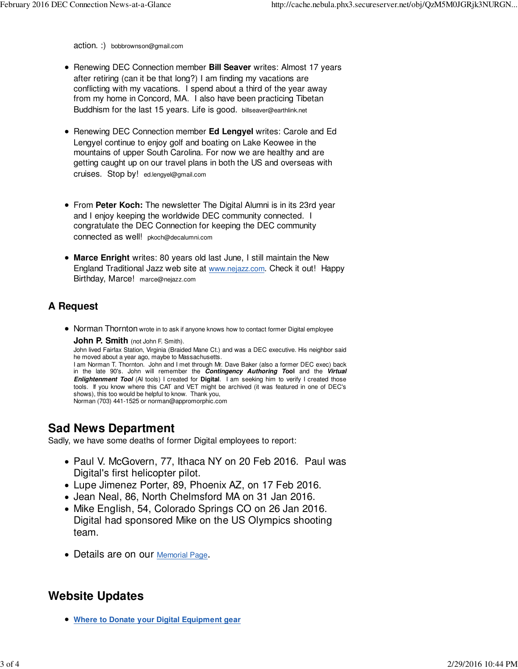action. :) bobbrownson@gmail.com

- Renewing DEC Connection member **Bill Seaver** writes: Almost 17 years after retiring (can it be that long?) I am finding my vacations are conflicting with my vacations. I spend about a third of the year away from my home in Concord, MA. I also have been practicing Tibetan Buddhism for the last 15 years. Life is good. billseaver@earthlink.net
- Renewing DEC Connection member **Ed Lengyel** writes: Carole and Ed Lengyel continue to enjoy golf and boating on Lake Keowee in the mountains of upper South Carolina. For now we are healthy and are getting caught up on our travel plans in both the US and overseas with cruises. Stop by! ed.lengyel@gmail.com
- From **Peter Koch:** The newsletter The Digital Alumni is in its 23rd year and I enjoy keeping the worldwide DEC community connected. I congratulate the DEC Connection for keeping the DEC community connected as well! pkoch@decalumni.com
- **Marce Enright** writes: 80 years old last June, I still maintain the New England Traditional Jazz web site at www.nejazz.com. Check it out! Happy Birthday, Marce! marce@nejazz.com

### **A Request**

• Norman Thornton wrote in to ask if anyone knows how to contact former Digital employee John P. Smith (not John F. Smith).

John lived Fairfax Station, Virginia (Braided Mane Ct.) and was a DEC executive. His neighbor said he moved about a year ago, maybe to Massachusetts. I am Norman T. Thornton. John and I met through Mr. Dave Baker (also a former DEC exec) back in the late 90's. John will remember the **Contingency Authoring Tool** and the **Virtual Enlightenment Tool** (AI tools) I created for **Digital**. I am seeking him to verify I created those tools. If you know where this CAT and VET might be archived (it was featured in one of DEC's shows), this too would be helpful to know. Thank you, Norman (703) 441-1525 or norman@appromorphic.com

## **Sad News Department**

Sadly, we have some deaths of former Digital employees to report:

- Paul V. McGovern, 77, Ithaca NY on 20 Feb 2016. Paul was Digital's first helicopter pilot.
- Lupe Jimenez Porter, 89, Phoenix AZ, on 17 Feb 2016.
- Jean Neal, 86, North Chelmsford MA on 31 Jan 2016.
- Mike English, 54, Colorado Springs CO on 26 Jan 2016. Digital had sponsored Mike on the US Olympics shooting team.
- Details are on our Memorial Page.

## **Website Updates**

**Where to Donate your Digital Equipment gear**